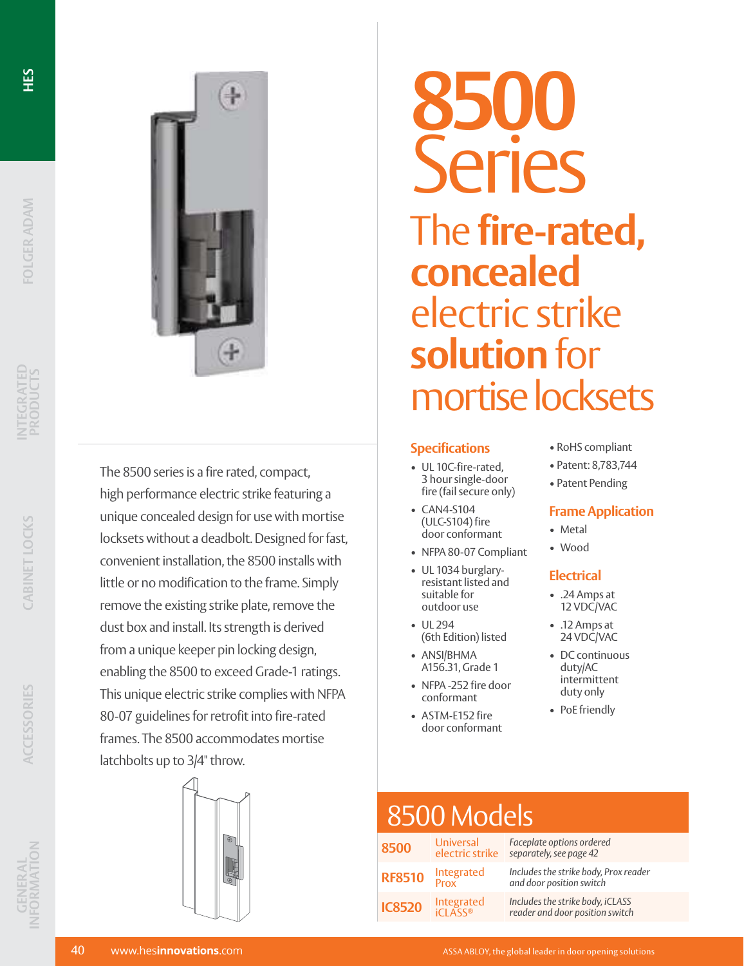

The 8500 series is a fire rated, compact, high performance electric strike featuring a unique concealed design for use with mortise locksets without a deadbolt. Designed for fast, convenient installation, the 8500 installs with little or no modification to the frame. Simply remove the existing strike plate, remove the dust box and install. Its strength is derived from a unique keeper pin locking design, enabling the 8500 to exceed Grade-1 ratings. This unique electric strike complies with NFPA 80-07 guidelines for retrofit into fire-rated frames. The 8500 accommodates mortise latchbolts up to 3/4" throw.



# **8500 Series** The **fire-rated, concealed** electric strike **solution** for mortise locksets

#### **Specifications**

- UL 10C-fire-rated, 3 hour single-door fire (fail secure only)
- CAN4-S104 (ULC-S104) fire door conformant
- NFPA 80-07 Compliant
- UL 1034 burglaryresistant listed and suitable for outdoor use
- UL 294 (6th Edition) listed
- ANSI/BHMA A156.31, Grade 1
- NFPA -252 fire door conformant
- ASTM-E152 fire door conformant
- RoHS compliant
- Patent: 8,783,744
- Patent Pending

#### **Frame Application**

- Metal
- Wood

#### **Electrical**

- .24 Amps at 12 VDC/VAC
- .12 Amps at 24 VDC/VAC
- DC continuous duty/AC intermittent duty only
- PoE friendly

## 8500 Models

| 8500          | <b>Universal</b><br>electric strike | Faceplate options ordered<br>separately, see page 42                |
|---------------|-------------------------------------|---------------------------------------------------------------------|
| <b>RF8510</b> | Integrated<br>Prox                  | Includes the strike body, Prox reader<br>and door position switch   |
| <b>IC8520</b> | Integrated<br><b>iCLASS®</b>        | Includes the strike body, iCLASS<br>reader and door position switch |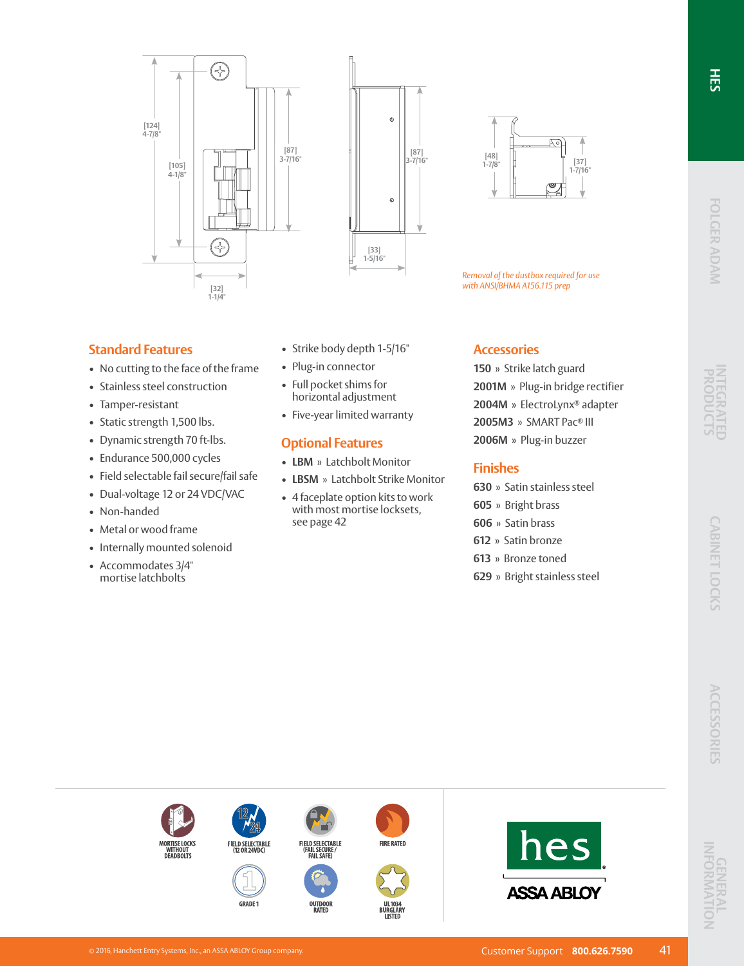





*Removal of the dustbox required for use with ANSI/BHMA A156.115 prep*

#### **Standard Features**

- No cutting to the face of the frame
- Stainless steel construction
- Tamper-resistant
- Static strength 1,500 lbs.
- Dynamic strength 70 ft-lbs.
- Endurance 500,000 cycles
- Field selectable fail secure/fail safe
- Dual-voltage 12 or 24 VDC/VAC
- Non-handed
- Metal or wood frame
- Internally mounted solenoid
- Accommodates 3/4" mortise latchbolts
- Strike body depth 1-5/16"
- Plug-in connector
- Full pocket shims for horizontal adjustment
- Five-year limited warranty

#### **Optional Features**

FIELD SELECTABLE<br>(FAIL SECURE /<br>FAIL SAFE)

OUTDOOR<br>RATED

**FIRE RATED** 

UKULA<br>I ISTFI

- **LBM** » Latchbolt Monitor
- **LBSM** » Latchbolt Strike Monitor
- 4 faceplate option kits to work with most mortise locksets, see page 42

#### **Accessories**

**150** » Strike latch guard **2001M** » Plug-in bridge rectifier **2004M** » ElectroLynx® adapter **2005M3** » SMART Pac® III **2006M** » Plug-in buzzer

#### **Finishes**

- **630** » Satin stainless steel
- **605** » Bright brass
- **606** » Satin brass
- **612** » Satin bronze
- **613** » Bronze toned
- **629** » Bright stainless steel



ORTISE LOCKS<br>WITHOUT<br>DEADBOLTS

FIELD SELECTABLE<br>(12 OR 24VDC)

**GRADE 1** 

hes

**ASSA ABLOY**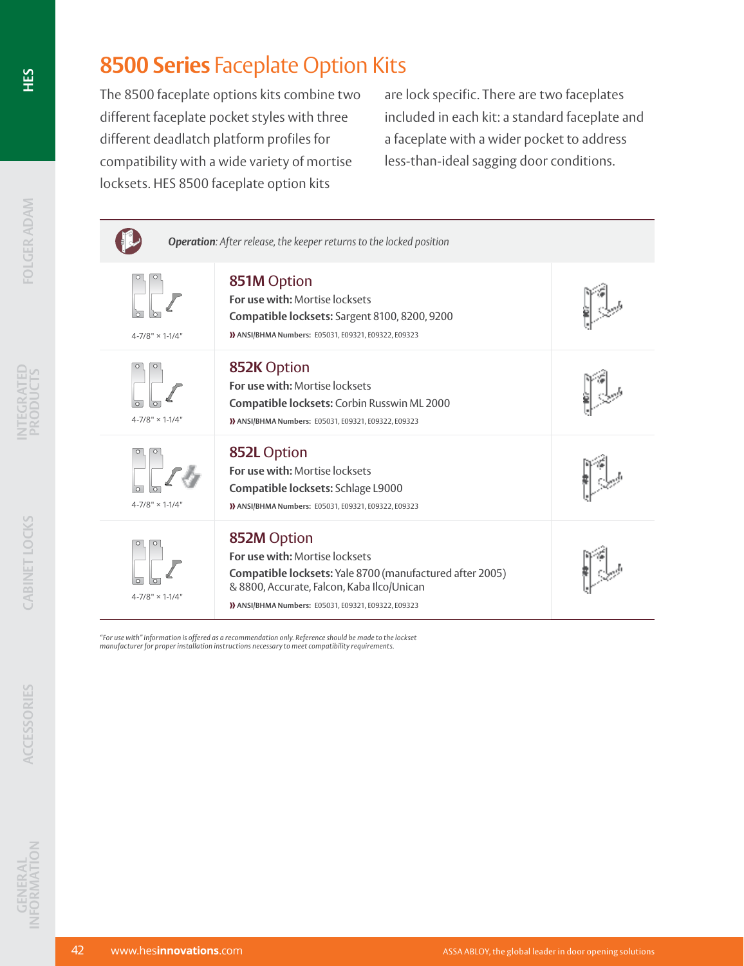## **8500 Series** Faceplate Option Kits

The 8500 faceplate options kits combine two different faceplate pocket styles with three different deadlatch platform profiles for compatibility with a wide variety of mortise locksets. HES 8500 faceplate option kits

are lock specific. There are two faceplates included in each kit: a standard faceplate and a faceplate with a wider pocket to address less-than-ideal sagging door conditions.

| Operation: After release, the keeper returns to the locked position |                                                                                                                                                                                                              |  |  |
|---------------------------------------------------------------------|--------------------------------------------------------------------------------------------------------------------------------------------------------------------------------------------------------------|--|--|
| $4 - 7/8" \times 1 - 1/4"$                                          | 851M Option<br>For use with: Mortise locksets<br>Compatible locksets: Sargent 8100, 8200, 9200<br>>>>>>>>>>>>>>>>>>>>>>>>>>>+, E09321, E09322, E09323                                                        |  |  |
| $4 - 7/8" \times 1 - 1/4"$                                          | 852K Option<br>For use with: Mortise locksets<br>Compatible locksets: Corbin Russwin ML 2000<br>>>>>>>>>>>>>>>>>>>>>>>>>>+, E09321, E09322, E09323                                                           |  |  |
| $4 - 7/8" \times 1 - 1/4"$                                          | 852L Option<br>For use with: Mortise locksets<br>Compatible locksets: Schlage L9000<br>>>>>>>>>>>>>>>>>>>>>>>>>>+, E09321, E09322, E09323                                                                    |  |  |
| $4 - 7/8" \times 1 - 1/4"$                                          | 852M Option<br>For use with: Mortise locksets<br>Compatible locksets: Yale 8700 (manufactured after 2005)<br>& 8800, Accurate, Falcon, Kaba Ilco/Unican<br>>>>>>>>>>>>>>>>>>>>>>>>>+, E09321, E09322, E09323 |  |  |

"For use with" information is offered as a recommendation only. Reference should be made to the lockset<br>manufacturer for proper installation instructions necessary to meet compatibility requirements.